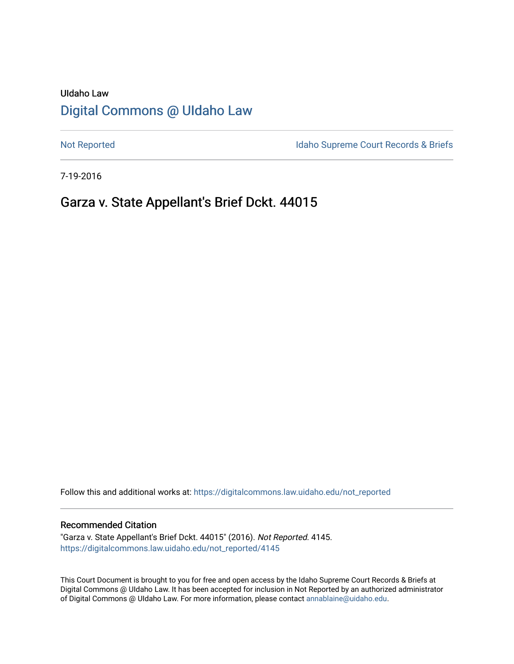# UIdaho Law [Digital Commons @ UIdaho Law](https://digitalcommons.law.uidaho.edu/)

[Not Reported](https://digitalcommons.law.uidaho.edu/not_reported) **Idaho Supreme Court Records & Briefs** 

7-19-2016

# Garza v. State Appellant's Brief Dckt. 44015

Follow this and additional works at: [https://digitalcommons.law.uidaho.edu/not\\_reported](https://digitalcommons.law.uidaho.edu/not_reported?utm_source=digitalcommons.law.uidaho.edu%2Fnot_reported%2F4145&utm_medium=PDF&utm_campaign=PDFCoverPages) 

#### Recommended Citation

"Garza v. State Appellant's Brief Dckt. 44015" (2016). Not Reported. 4145. [https://digitalcommons.law.uidaho.edu/not\\_reported/4145](https://digitalcommons.law.uidaho.edu/not_reported/4145?utm_source=digitalcommons.law.uidaho.edu%2Fnot_reported%2F4145&utm_medium=PDF&utm_campaign=PDFCoverPages)

This Court Document is brought to you for free and open access by the Idaho Supreme Court Records & Briefs at Digital Commons @ UIdaho Law. It has been accepted for inclusion in Not Reported by an authorized administrator of Digital Commons @ UIdaho Law. For more information, please contact [annablaine@uidaho.edu](mailto:annablaine@uidaho.edu).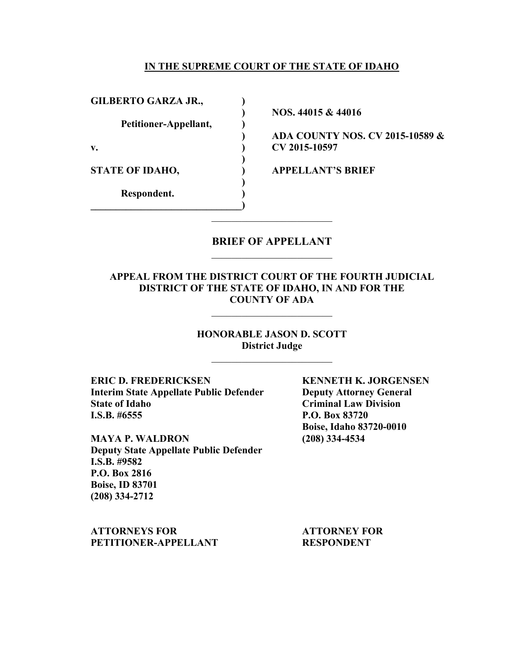#### **IN THE SUPREME COURT OF THE STATE OF IDAHO**

GILBERTO GARZA JR.,

 **Petitioner-Appellant, )** 

 **)** 

 **)** 

**\_\_\_\_\_\_\_\_\_\_\_\_\_\_\_\_\_\_\_\_\_\_\_\_\_\_\_\_\_\_)** 

 **Respondent. )** 

 **) NOS. 44015 & 44016**

**) ADA COUNTY NOS. CV 2015-10589 & v. ) CV 2015-10597** 

**STATE OF IDAHO, ) APPELLANT'S BRIEF** 

### **BRIEF OF APPELLANT**  \_\_\_\_\_\_\_\_\_\_\_\_\_\_\_\_\_\_\_\_\_\_\_\_

## **APPEAL FROM THE DISTRICT COURT OF THE FOURTH JUDICIAL DISTRICT OF THE STATE OF IDAHO, IN AND FOR THE COUNTY OF ADA**

\_\_\_\_\_\_\_\_\_\_\_\_\_\_\_\_\_\_\_\_\_\_\_\_

**HONORABLE JASON D. SCOTT District Judge** 

**ERIC D. FREDERICKSEN KENNETH K. JORGENSEN Interim State Appellate Public Defender Deputy Attorney General**  State of Idaho<br> **I.S.B.** #6555<br> **State 3555**<br> **P.O. Box 83720** 

**MAYA P. WALDRON (208) 334-4534 Deputy State Appellate Public Defender I.S.B. #9582 P.O. Box 2816 Boise, ID 83701 (208) 334-2712** 

**ATTORNEYS FOR ATTORNEY FOR**  PETITIONER-APPELLANT RESPONDENT

**P.O. Box 83720 Boise, Idaho 83720-0010**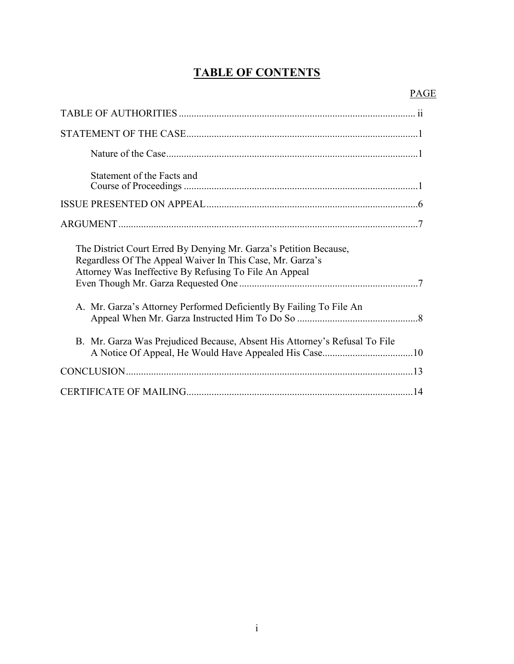# **TABLE OF CONTENTS**

| Statement of the Facts and                                                                                                                                                               |
|------------------------------------------------------------------------------------------------------------------------------------------------------------------------------------------|
|                                                                                                                                                                                          |
|                                                                                                                                                                                          |
| The District Court Erred By Denying Mr. Garza's Petition Because,<br>Regardless Of The Appeal Waiver In This Case, Mr. Garza's<br>Attorney Was Ineffective By Refusing To File An Appeal |
| A. Mr. Garza's Attorney Performed Deficiently By Failing To File An                                                                                                                      |
| B. Mr. Garza Was Prejudiced Because, Absent His Attorney's Refusal To File                                                                                                               |
|                                                                                                                                                                                          |
|                                                                                                                                                                                          |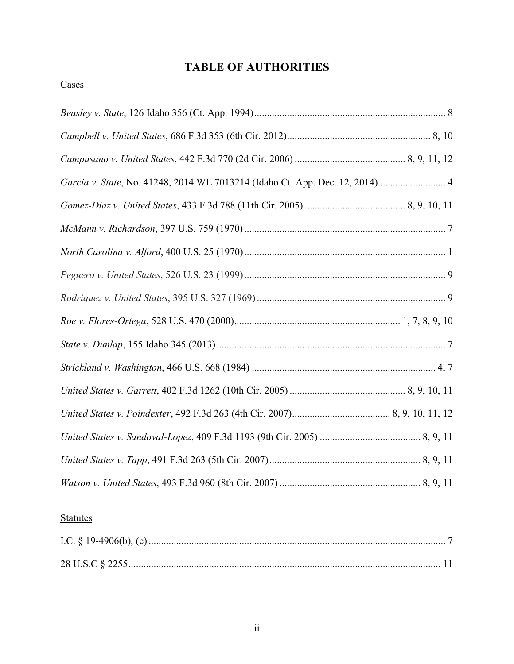# **TABLE OF AUTHORITIES**

## **Cases**

| Garcia v. State, No. 41248, 2014 WL 7013214 (Idaho Ct. App. Dec. 12, 2014)  4 |
|-------------------------------------------------------------------------------|
|                                                                               |
|                                                                               |
|                                                                               |
|                                                                               |
|                                                                               |
|                                                                               |
|                                                                               |
|                                                                               |
|                                                                               |
|                                                                               |
|                                                                               |
|                                                                               |
|                                                                               |

## **Statutes**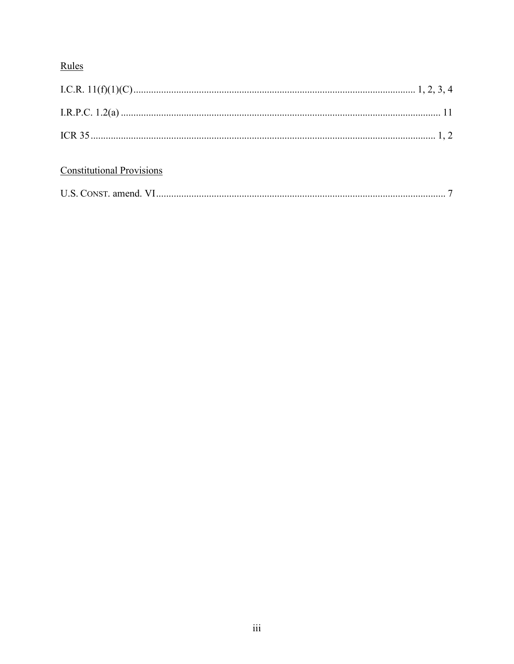## Rules

## **Constitutional Provisions**

| U.S. CONST. amend. |  |  |
|--------------------|--|--|
|--------------------|--|--|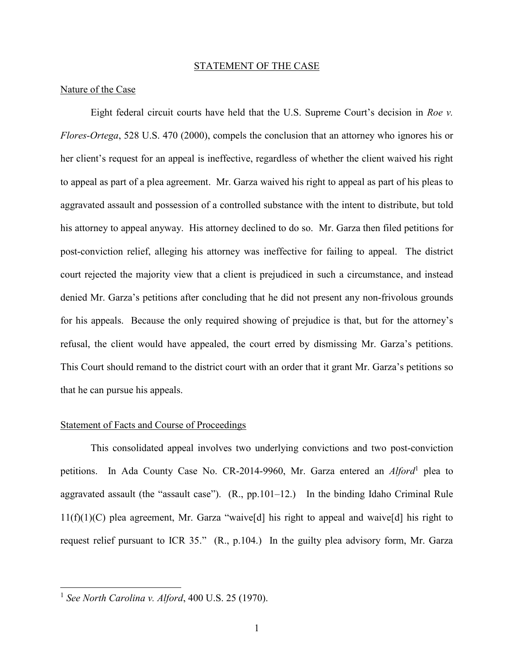#### STATEMENT OF THE CASE

#### Nature of the Case

Eight federal circuit courts have held that the U.S. Supreme Court's decision in *Roe v. Flores-Ortega*, 528 U.S. 470 (2000), compels the conclusion that an attorney who ignores his or her client's request for an appeal is ineffective, regardless of whether the client waived his right to appeal as part of a plea agreement. Mr. Garza waived his right to appeal as part of his pleas to aggravated assault and possession of a controlled substance with the intent to distribute, but told his attorney to appeal anyway. His attorney declined to do so. Mr. Garza then filed petitions for post-conviction relief, alleging his attorney was ineffective for failing to appeal. The district court rejected the majority view that a client is prejudiced in such a circumstance, and instead denied Mr. Garza's petitions after concluding that he did not present any non-frivolous grounds for his appeals. Because the only required showing of prejudice is that, but for the attorney's refusal, the client would have appealed, the court erred by dismissing Mr. Garza's petitions. This Court should remand to the district court with an order that it grant Mr. Garza's petitions so that he can pursue his appeals.

#### Statement of Facts and Course of Proceedings

This consolidated appeal involves two underlying convictions and two post-conviction petitions. In Ada County Case No. CR-2014-9960, Mr. Garza entered an *Alford*<sup>1</sup> plea to aggravated assault (the "assault case"). (R., pp.101–12.) In the binding Idaho Criminal Rule 11(f)(1)(C) plea agreement, Mr. Garza "waive[d] his right to appeal and waive[d] his right to request relief pursuant to ICR 35." (R., p.104.) In the guilty plea advisory form, Mr. Garza

<sup>1</sup> *See North Carolina v. Alford*, 400 U.S. 25 (1970).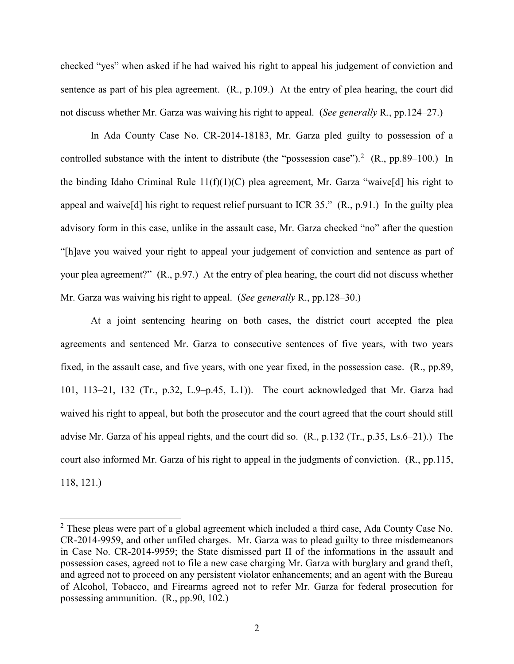checked "yes" when asked if he had waived his right to appeal his judgement of conviction and sentence as part of his plea agreement. (R., p.109.) At the entry of plea hearing, the court did not discuss whether Mr. Garza was waiving his right to appeal. (*See generally* R., pp.124–27.)

In Ada County Case No. CR-2014-18183, Mr. Garza pled guilty to possession of a controlled substance with the intent to distribute (the "possession case").<sup>2</sup> (R., pp.89–100.) In the binding Idaho Criminal Rule  $11(f)(1)(C)$  plea agreement, Mr. Garza "waive[d] his right to appeal and waive[d] his right to request relief pursuant to ICR 35." (R., p.91.) In the guilty plea advisory form in this case, unlike in the assault case, Mr. Garza checked "no" after the question "[h]ave you waived your right to appeal your judgement of conviction and sentence as part of your plea agreement?" (R., p.97.) At the entry of plea hearing, the court did not discuss whether Mr. Garza was waiving his right to appeal. (*See generally* R., pp.128–30.)

At a joint sentencing hearing on both cases, the district court accepted the plea agreements and sentenced Mr. Garza to consecutive sentences of five years, with two years fixed, in the assault case, and five years, with one year fixed, in the possession case. (R., pp.89, 101, 113–21, 132 (Tr., p.32, L.9–p.45, L.1)). The court acknowledged that Mr. Garza had waived his right to appeal, but both the prosecutor and the court agreed that the court should still advise Mr. Garza of his appeal rights, and the court did so. (R., p.132 (Tr., p.35, Ls.6–21).) The court also informed Mr. Garza of his right to appeal in the judgments of conviction. (R., pp.115, 118, 121.)

 $2$  These pleas were part of a global agreement which included a third case, Ada County Case No. CR-2014-9959, and other unfiled charges. Mr. Garza was to plead guilty to three misdemeanors in Case No. CR-2014-9959; the State dismissed part II of the informations in the assault and possession cases, agreed not to file a new case charging Mr. Garza with burglary and grand theft, and agreed not to proceed on any persistent violator enhancements; and an agent with the Bureau of Alcohol, Tobacco, and Firearms agreed not to refer Mr. Garza for federal prosecution for possessing ammunition. (R., pp.90, 102.)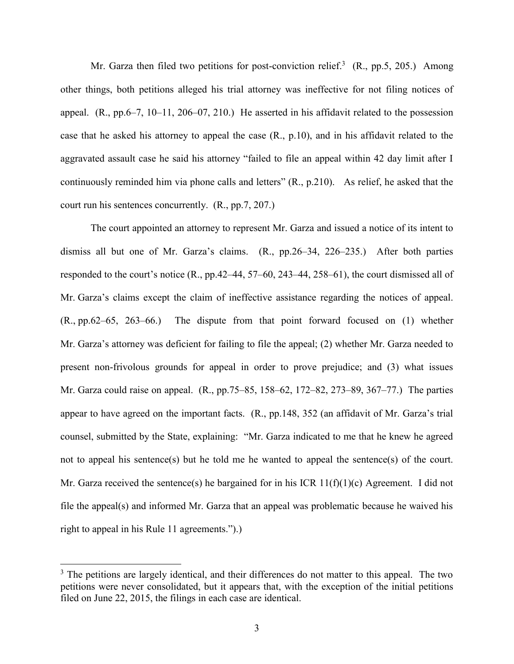Mr. Garza then filed two petitions for post-conviction relief.<sup>3</sup> (R., pp.5, 205.) Among other things, both petitions alleged his trial attorney was ineffective for not filing notices of appeal. (R., pp.6–7, 10–11, 206–07, 210.) He asserted in his affidavit related to the possession case that he asked his attorney to appeal the case (R., p.10), and in his affidavit related to the aggravated assault case he said his attorney "failed to file an appeal within 42 day limit after I continuously reminded him via phone calls and letters" (R., p.210). As relief, he asked that the court run his sentences concurrently. (R., pp.7, 207.)

The court appointed an attorney to represent Mr. Garza and issued a notice of its intent to dismiss all but one of Mr. Garza's claims. (R., pp.26–34, 226–235.) After both parties responded to the court's notice (R., pp.42–44, 57–60, 243–44, 258–61), the court dismissed all of Mr. Garza's claims except the claim of ineffective assistance regarding the notices of appeal. (R., pp.62–65, 263–66.) The dispute from that point forward focused on (1) whether Mr. Garza's attorney was deficient for failing to file the appeal; (2) whether Mr. Garza needed to present non-frivolous grounds for appeal in order to prove prejudice; and (3) what issues Mr. Garza could raise on appeal. (R., pp.75–85, 158–62, 172–82, 273–89, 367–77.) The parties appear to have agreed on the important facts. (R., pp.148, 352 (an affidavit of Mr. Garza's trial counsel, submitted by the State, explaining: "Mr. Garza indicated to me that he knew he agreed not to appeal his sentence(s) but he told me he wanted to appeal the sentence(s) of the court. Mr. Garza received the sentence(s) he bargained for in his ICR  $11(f)(1)(c)$  Agreement. I did not file the appeal(s) and informed Mr. Garza that an appeal was problematic because he waived his right to appeal in his Rule 11 agreements.").)

<sup>&</sup>lt;sup>3</sup> The petitions are largely identical, and their differences do not matter to this appeal. The two petitions were never consolidated, but it appears that, with the exception of the initial petitions filed on June 22, 2015, the filings in each case are identical.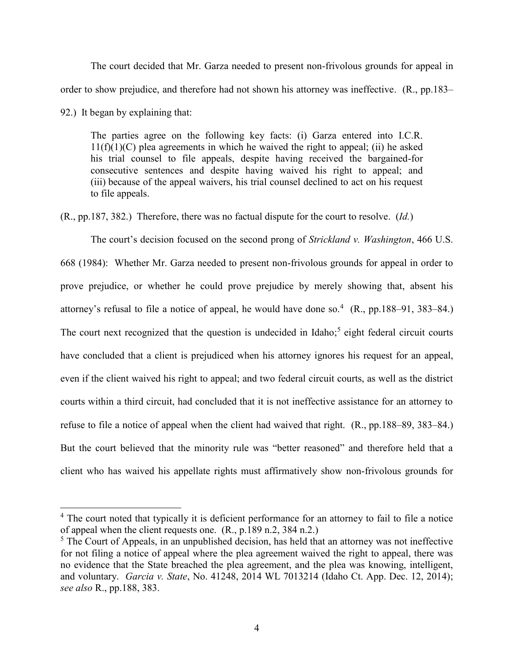The court decided that Mr. Garza needed to present non-frivolous grounds for appeal in order to show prejudice, and therefore had not shown his attorney was ineffective. (R., pp.183– 92.) It began by explaining that:

The parties agree on the following key facts: (i) Garza entered into I.C.R.  $11(f)(1)(C)$  plea agreements in which he waived the right to appeal; (ii) he asked his trial counsel to file appeals, despite having received the bargained-for consecutive sentences and despite having waived his right to appeal; and (iii) because of the appeal waivers, his trial counsel declined to act on his request to file appeals.

(R., pp.187, 382.) Therefore, there was no factual dispute for the court to resolve. (*Id.*)

The court's decision focused on the second prong of *Strickland v. Washington*, 466 U.S. 668 (1984): Whether Mr. Garza needed to present non-frivolous grounds for appeal in order to prove prejudice, or whether he could prove prejudice by merely showing that, absent his attorney's refusal to file a notice of appeal, he would have done so.<sup>4</sup> (R., pp.188–91, 383–84.) The court next recognized that the question is undecided in Idaho;<sup>5</sup> eight federal circuit courts have concluded that a client is prejudiced when his attorney ignores his request for an appeal, even if the client waived his right to appeal; and two federal circuit courts, as well as the district courts within a third circuit, had concluded that it is not ineffective assistance for an attorney to refuse to file a notice of appeal when the client had waived that right. (R., pp.188–89, 383–84.) But the court believed that the minority rule was "better reasoned" and therefore held that a client who has waived his appellate rights must affirmatively show non-frivolous grounds for

<sup>&</sup>lt;sup>4</sup> The court noted that typically it is deficient performance for an attorney to fail to file a notice of appeal when the client requests one. (R., p.189 n.2, 384 n.2.)

 $<sup>5</sup>$  The Court of Appeals, in an unpublished decision, has held that an attorney was not ineffective</sup> for not filing a notice of appeal where the plea agreement waived the right to appeal, there was no evidence that the State breached the plea agreement, and the plea was knowing, intelligent, and voluntary. *Garcia v. State*, No. 41248, 2014 WL 7013214 (Idaho Ct. App. Dec. 12, 2014); *see also* R., pp.188, 383.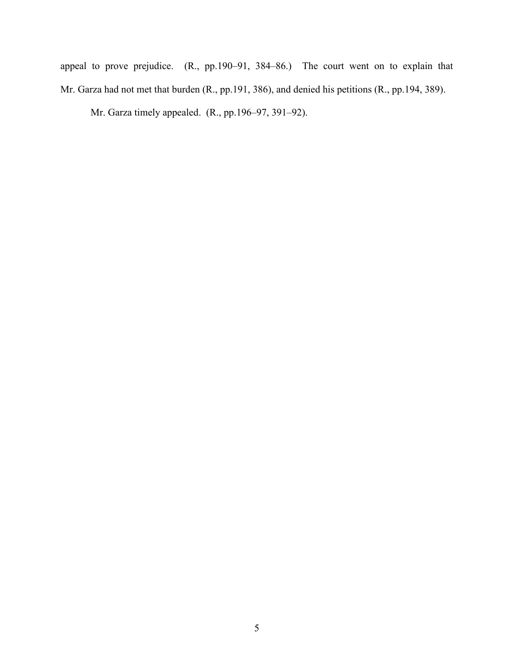appeal to prove prejudice. (R., pp.190–91, 384–86.) The court went on to explain that Mr. Garza had not met that burden (R., pp.191, 386), and denied his petitions (R., pp.194, 389).

Mr. Garza timely appealed. (R., pp.196–97, 391–92).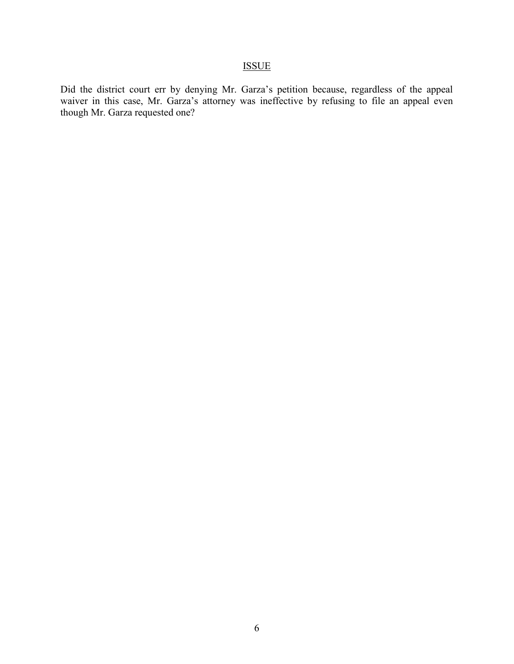## ISSUE

Did the district court err by denying Mr. Garza's petition because, regardless of the appeal waiver in this case, Mr. Garza's attorney was ineffective by refusing to file an appeal even though Mr. Garza requested one?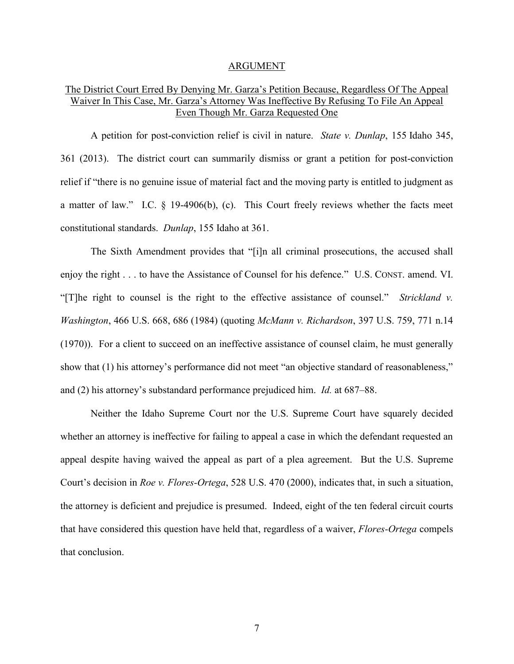#### ARGUMENT

## The District Court Erred By Denying Mr. Garza's Petition Because, Regardless Of The Appeal Waiver In This Case, Mr. Garza's Attorney Was Ineffective By Refusing To File An Appeal Even Though Mr. Garza Requested One

A petition for post-conviction relief is civil in nature. *State v. Dunlap*, 155 Idaho 345, 361 (2013). The district court can summarily dismiss or grant a petition for post-conviction relief if "there is no genuine issue of material fact and the moving party is entitled to judgment as a matter of law." I.C. § 19-4906(b), (c). This Court freely reviews whether the facts meet constitutional standards. *Dunlap*, 155 Idaho at 361.

The Sixth Amendment provides that "[i]n all criminal prosecutions, the accused shall enjoy the right . . . to have the Assistance of Counsel for his defence." U.S. CONST. amend. VI. "[T]he right to counsel is the right to the effective assistance of counsel." *Strickland v. Washington*, 466 U.S. 668, 686 (1984) (quoting *McMann v. Richardson*, 397 U.S. 759, 771 n.14 (1970)). For a client to succeed on an ineffective assistance of counsel claim, he must generally show that (1) his attorney's performance did not meet "an objective standard of reasonableness," and (2) his attorney's substandard performance prejudiced him. *Id.* at 687–88.

Neither the Idaho Supreme Court nor the U.S. Supreme Court have squarely decided whether an attorney is ineffective for failing to appeal a case in which the defendant requested an appeal despite having waived the appeal as part of a plea agreement. But the U.S. Supreme Court's decision in *Roe v. Flores-Ortega*, 528 U.S. 470 (2000), indicates that, in such a situation, the attorney is deficient and prejudice is presumed. Indeed, eight of the ten federal circuit courts that have considered this question have held that, regardless of a waiver, *Flores-Ortega* compels that conclusion.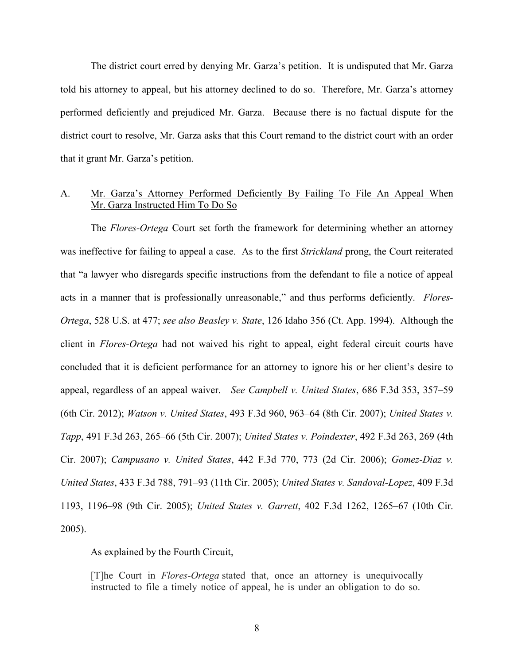The district court erred by denying Mr. Garza's petition. It is undisputed that Mr. Garza told his attorney to appeal, but his attorney declined to do so. Therefore, Mr. Garza's attorney performed deficiently and prejudiced Mr. Garza. Because there is no factual dispute for the district court to resolve, Mr. Garza asks that this Court remand to the district court with an order that it grant Mr. Garza's petition.

## A. Mr. Garza's Attorney Performed Deficiently By Failing To File An Appeal When Mr. Garza Instructed Him To Do So

The *Flores-Ortega* Court set forth the framework for determining whether an attorney was ineffective for failing to appeal a case. As to the first *Strickland* prong, the Court reiterated that "a lawyer who disregards specific instructions from the defendant to file a notice of appeal acts in a manner that is professionally unreasonable," and thus performs deficiently. *Flores-Ortega*, 528 U.S. at 477; *see also Beasley v. State*, 126 Idaho 356 (Ct. App. 1994). Although the client in *Flores-Ortega* had not waived his right to appeal, eight federal circuit courts have concluded that it is deficient performance for an attorney to ignore his or her client's desire to appeal, regardless of an appeal waiver. *See Campbell v. United States*, 686 F.3d 353, 357–59 (6th Cir. 2012); *Watson v. United States*, 493 F.3d 960, 963–64 (8th Cir. 2007); *United States v. Tapp*, 491 F.3d 263, 265–66 (5th Cir. 2007); *United States v. Poindexter*, 492 F.3d 263, 269 (4th Cir. 2007); *Campusano v. United States*, 442 F.3d 770, 773 (2d Cir. 2006); *Gomez-Diaz v. United States*, 433 F.3d 788, 791–93 (11th Cir. 2005); *United States v. Sandoval-Lopez*, 409 F.3d 1193, 1196–98 (9th Cir. 2005); *United States v. Garrett*, 402 F.3d 1262, 1265–67 (10th Cir. 2005).

As explained by the Fourth Circuit,

[T]he Court in *Flores-Ortega* stated that, once an attorney is unequivocally instructed to file a timely notice of appeal, he is under an obligation to do so.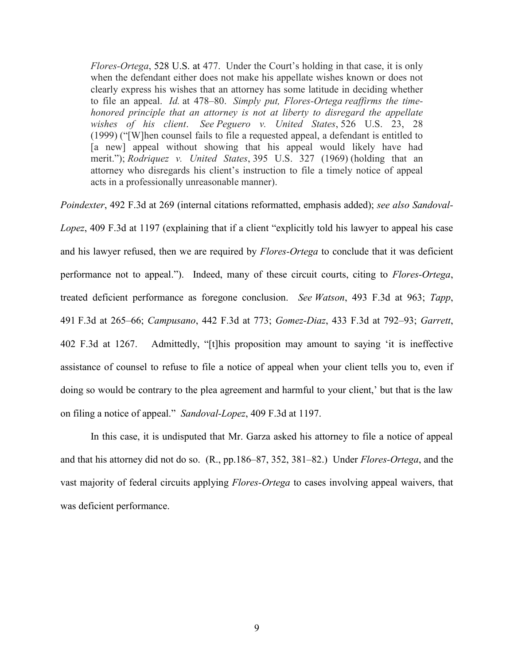*Flores-Ortega*, [528 U.S. at 477.](https://1.next.westlaw.com/Link/Document/FullText?findType=Y&serNum=2000060042&pubNum=708&originatingDoc=I369a3d0c258811dcaba8d9d29eb57eff&refType=RP&originationContext=document&transitionType=DocumentItem&contextData=(sc.Folder*cid.582a8fdbc6d74dd8ada33c63c3d3b6c9*oc.UserEnteredCitation)) Under the Court's holding in that case, it is only when the defendant either does not make his appellate wishes known or does not clearly express his wishes that an attorney has some latitude in deciding whether to file an appeal. *Id.* at 478–80. *Simply put, Flores-Ortega reaffirms the timehonored principle that an attorney is not at liberty to disregard the appellate wishes of his client*. *See Peguero v. United States*, 526 U.S. 23, 28 (1999) ("[W]hen counsel fails to file a requested appeal, a defendant is entitled to [a new] appeal without showing that his appeal would likely have had merit."); *Rodriquez v. United States*, 395 U.S. 327 (1969) (holding that an attorney who disregards his client's instruction to file a timely notice of appeal acts in a professionally unreasonable manner).

*Poindexter*, 492 F.3d at 269 (internal citations reformatted, emphasis added); *see also Sandoval-Lopez*, 409 F.3d at 1197 (explaining that if a client "explicitly told his lawyer to appeal his case and his lawyer refused, then we are required by *Flores-Ortega* to conclude that it was deficient performance not to appeal."). Indeed, many of these circuit courts, citing to *Flores-Ortega*, treated deficient performance as foregone conclusion. *See Watson*, 493 F.3d at 963; *Tapp*, 491 F.3d at 265–66; *Campusano*, 442 F.3d at 773; *Gomez-Diaz*, 433 F.3d at 792–93; *Garrett*, 402 F.3d at 1267. Admittedly, "[t]his proposition may amount to saying 'it is ineffective assistance of counsel to refuse to file a notice of appeal when your client tells you to, even if doing so would be contrary to the plea agreement and harmful to your client,' but that is the law on filing a notice of appeal." *Sandoval-Lopez*, 409 F.3d at 1197.

 In this case, it is undisputed that Mr. Garza asked his attorney to file a notice of appeal and that his attorney did not do so. (R., pp.186–87, 352, 381–82.) Under *Flores-Ortega*, and the vast majority of federal circuits applying *Flores-Ortega* to cases involving appeal waivers, that was deficient performance.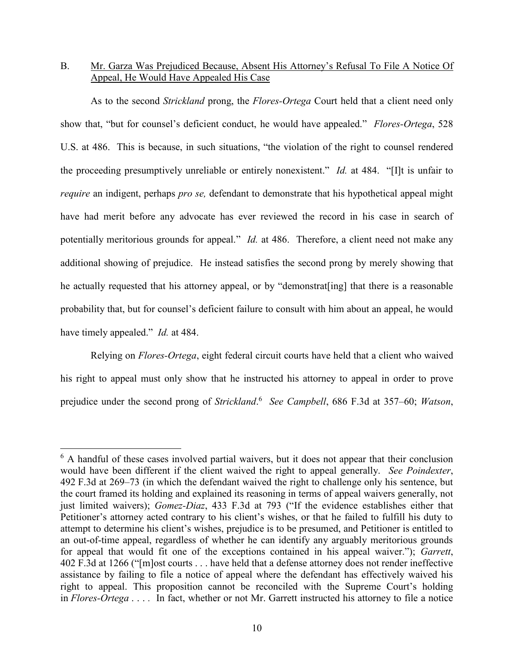## B. Mr. Garza Was Prejudiced Because, Absent His Attorney's Refusal To File A Notice Of Appeal, He Would Have Appealed His Case

As to the second *Strickland* prong, the *Flores-Ortega* Court held that a client need only show that, "but for counsel's deficient conduct, he would have appealed." *Flores-Ortega*, 528 U.S. at 486. This is because, in such situations, "the violation of the right to counsel rendered the proceeding presumptively unreliable or entirely nonexistent." *Id.* at 484. "[I]t is unfair to *require* an indigent, perhaps *pro se,* defendant to demonstrate that his hypothetical appeal might have had merit before any advocate has ever reviewed the record in his case in search of potentially meritorious grounds for appeal." *Id.* at 486. Therefore, a client need not make any additional showing of prejudice. He instead satisfies the second prong by merely showing that he actually requested that his attorney appeal, or by "demonstrat[ing] that there is a reasonable probability that, but for counsel's deficient failure to consult with him about an appeal, he would have timely appealed." *Id.* at 484.

Relying on *Flores-Ortega*, eight federal circuit courts have held that a client who waived his right to appeal must only show that he instructed his attorney to appeal in order to prove prejudice under the second prong of *Strickland*. 6 *See Campbell*, 686 F.3d at 357–60; *Watson*,

<sup>&</sup>lt;sup>6</sup> A handful of these cases involved partial waivers, but it does not appear that their conclusion would have been different if the client waived the right to appeal generally. *See Poindexter*, 492 F.3d at 269–73 (in which the defendant waived the right to challenge only his sentence, but the court framed its holding and explained its reasoning in terms of appeal waivers generally, not just limited waivers); *Gomez-Diaz*, 433 F.3d at 793 ("If the evidence establishes either that Petitioner's attorney acted contrary to his client's wishes, or that he failed to fulfill his duty to attempt to determine his client's wishes, prejudice is to be presumed, and Petitioner is entitled to an out-of-time appeal, regardless of whether he can identify any arguably meritorious grounds for appeal that would fit one of the exceptions contained in his appeal waiver."); *Garrett*, 402 F.3d at 1266 ("[m]ost courts . . . have held that a defense attorney does not render ineffective assistance by failing to file a notice of appeal where the defendant has effectively waived his right to appeal. This proposition cannot be reconciled with the Supreme Court's holding in *Flores-Ortega* . . . *.* In fact, whether or not Mr. Garrett instructed his attorney to file a notice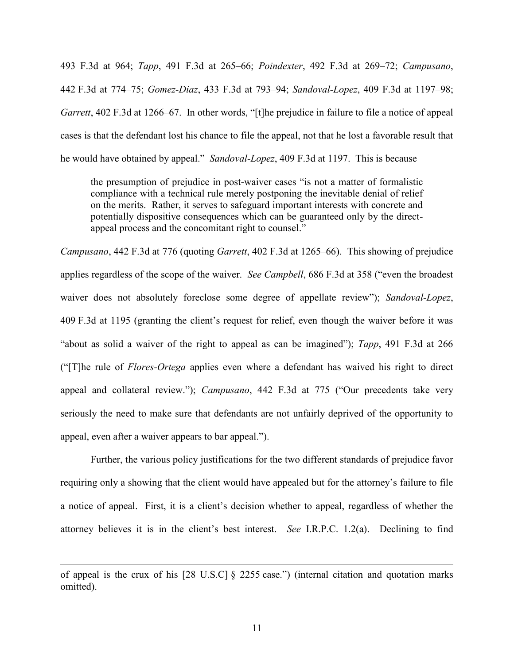493 F.3d at 964; *Tapp*, 491 F.3d at 265–66; *Poindexter*, 492 F.3d at 269–72; *Campusano*, 442 F.3d at 774–75; *Gomez-Diaz*, 433 F.3d at 793–94; *Sandoval-Lopez*, 409 F.3d at 1197–98; *Garrett*, 402 F.3d at 1266–67. In other words, "[t]he prejudice in failure to file a notice of appeal cases is that the defendant lost his chance to file the appeal, not that he lost a favorable result that he would have obtained by appeal." *Sandoval-Lopez*, 409 F.3d at 1197. This is because

the presumption of prejudice in post-waiver cases "is not a matter of formalistic compliance with a technical rule merely postponing the inevitable denial of relief on the merits. Rather, it serves to safeguard important interests with concrete and potentially dispositive consequences which can be guaranteed only by the directappeal process and the concomitant right to counsel."

*Campusano*, 442 F.3d at 776 (quoting *Garrett*, 402 F.3d at 1265–66). This showing of prejudice applies regardless of the scope of the waiver. *See Campbell*, 686 F.3d at 358 ("even the broadest waiver does not absolutely foreclose some degree of appellate review"); *Sandoval-Lopez*, 409 F.3d at 1195 (granting the client's request for relief, even though the waiver before it was "about as solid a waiver of the right to appeal as can be imagined"); *Tapp*, 491 F.3d at 266 ("[T]he rule of *Flores-Ortega* applies even where a defendant has waived his right to direct appeal and collateral review."); *Campusano*, 442 F.3d at 775 ("Our precedents take very seriously the need to make sure that defendants are not unfairly deprived of the opportunity to appeal, even after a waiver appears to bar appeal.").

Further, the various policy justifications for the two different standards of prejudice favor requiring only a showing that the client would have appealed but for the attorney's failure to file a notice of appeal. First, it is a client's decision whether to appeal, regardless of whether the attorney believes it is in the client's best interest. *See* I.R.P.C. 1.2(a). Declining to find

of appeal is the crux of his [28 U.S.C] § 2255 case.") (internal citation and quotation marks omitted).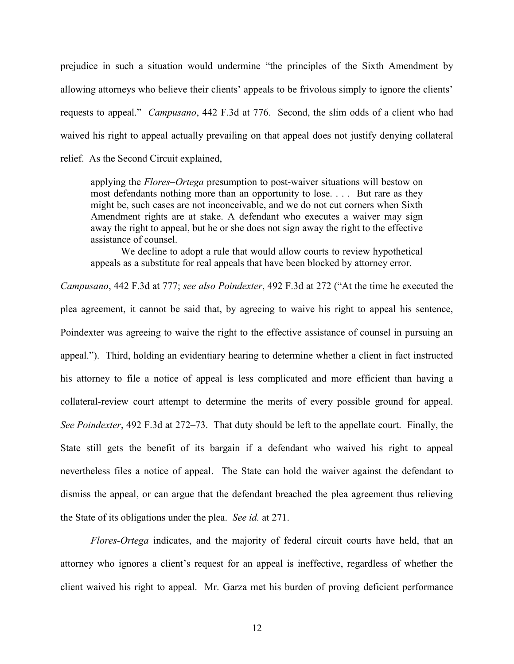prejudice in such a situation would undermine "the principles of the Sixth Amendment by allowing attorneys who believe their clients' appeals to be frivolous simply to ignore the clients' requests to appeal." *Campusano*, 442 F.3d at 776. Second, the slim odds of a client who had waived his right to appeal actually prevailing on that appeal does not justify denying collateral relief. As the Second Circuit explained,

applying the *Flores–Ortega* presumption to post-waiver situations will bestow on most defendants nothing more than an opportunity to lose. . . . But rare as they might be, such cases are not inconceivable, and we do not cut corners when Sixth Amendment rights are at stake. A defendant who executes a waiver may sign away the right to appeal, but he or she does not sign away the right to the effective assistance of counsel.

We decline to adopt a rule that would allow courts to review hypothetical appeals as a substitute for real appeals that have been blocked by attorney error.

*Campusano*, 442 F.3d at 777; *see also Poindexter*, 492 F.3d at 272 ("At the time he executed the plea agreement, it cannot be said that, by agreeing to waive his right to appeal his sentence, Poindexter was agreeing to waive the right to the effective assistance of counsel in pursuing an appeal."). Third, holding an evidentiary hearing to determine whether a client in fact instructed his attorney to file a notice of appeal is less complicated and more efficient than having a collateral-review court attempt to determine the merits of every possible ground for appeal. *See Poindexter*, 492 F.3d at 272–73. That duty should be left to the appellate court. Finally, the State still gets the benefit of its bargain if a defendant who waived his right to appeal nevertheless files a notice of appeal. The State can hold the waiver against the defendant to dismiss the appeal, or can argue that the defendant breached the plea agreement thus relieving the State of its obligations under the plea. *See id.* at 271.

*Flores-Ortega* indicates, and the majority of federal circuit courts have held, that an attorney who ignores a client's request for an appeal is ineffective, regardless of whether the client waived his right to appeal. Mr. Garza met his burden of proving deficient performance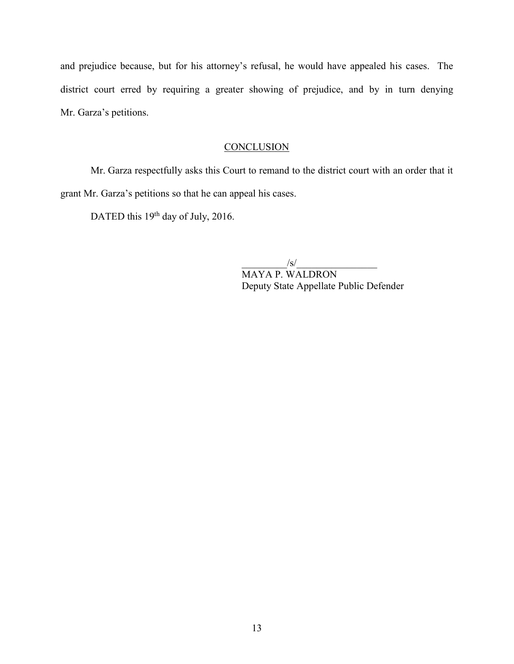and prejudice because, but for his attorney's refusal, he would have appealed his cases. The district court erred by requiring a greater showing of prejudice, and by in turn denying Mr. Garza's petitions.

## **CONCLUSION**

Mr. Garza respectfully asks this Court to remand to the district court with an order that it grant Mr. Garza's petitions so that he can appeal his cases.

DATED this 19<sup>th</sup> day of July, 2016.

 $/\mathrm{s}/$  MAYA P. WALDRON Deputy State Appellate Public Defender